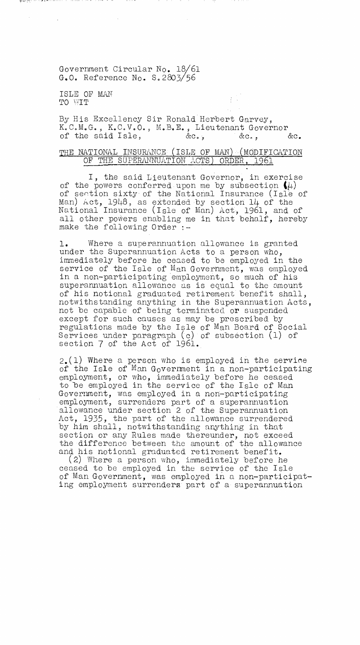Government Circular No. 18/61 G.O. Reference No. S.2803/56

ISLE OF MAN TO WIT

ਜਾ ਤਹਾਲਾ

By His Excellency Sir Ronald Herbert Garvey, K.C.M.G., K.C.V.O., M.B.E., Lieutenant Governor<br>of the said Isle, &c., &c., &c.

 $\mathcal{L}^{(1)}$ 

#### THE NATIONAL INSURANCE (ISLE OF MAN) (MODIFICATION OF THE SUPERANNUATION ACTS) ORDER, 1961

I, the said Lieutenant Governor, in exercise of the powers conferred upon me by subsection  $(4)$ of section sixty of the National Insurance (Isle of Man) Act, 1948, as extended by section 14 of the National Insurance (Isle of Man) Act) 1961, and of all other powers enabling me in that behalf, hereby make the following Order :-

1. Where a superannuation allowance is granted under the Superannuation Acts to a person who, immediately before he ceased to be employed in the service of the Isle of Man Government, was employed in a non-participating employment, so much of his superannuation allowance as is equal to the amount of his notional graduated retirement benefit shall, notwithstanding anything in the Superannuation Acts, not be capable of being terminated or suspended except for such causes as may be prescribed by regulations made by the Isle of Man Board of Social Services under paragraph (c) of subsection (1) of section 7 of the Act of 1961.

 $2.1$ ) Where a person who is employed in the service of the Isle of  $M$ an G $_0$ vernment in a non-participating employment, or who, immediately before he ceased to be employed in the service of the Isle of Man Government, was employed in a non-participating employment, surrenders part of a superannuation allowance under section 2 of the Superannuation Act, 1935, the part of the allowance surrendered by him shall, notwithstanding anything in that section or any Rules made thereunder, not exceed the difference between the amount of the allowance and his notional graduated retirement benefit.

(2) Where a person who, immediately before he ceased to be employed in the service of the Isle of Man Government, was employed in a non-participating employment surrenders part of a superannuation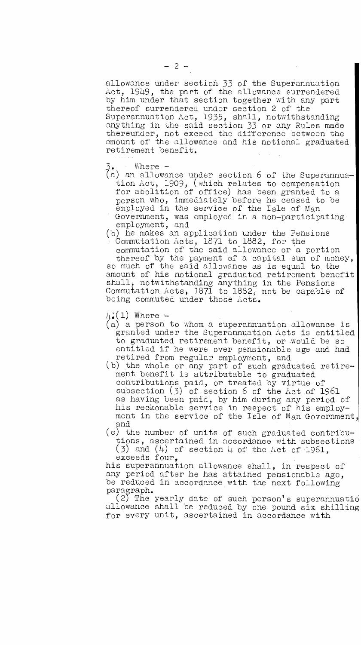allowance under section 33 of the Superannuation Act, 1949, the part of the allowance surrendered by him under that section together with any part thereof surrendered under section 2 of the Superannuation Act, 1935, shall, notwithstanding anything in the said section 33 or any Rules made thereunder, not exceed the difference between the amount of the allowance and his notional graduated retirement benefit.

- Where -
- (a) an allowance under section 6 of the Superannuation Act, 1909, (which relates to compensation for abolition of office) has been granted to a person who, immediately before he ceased to be employed in the service of the Isle of Man Government, was employed in a non-participating employment, and
- (b) he makes an application under the Pensions Commutation Acts, 1871 to 1882, for the commutation of the said allowance or a portion

thereof by the payment of a capital sum of money, so much of the said allowance as is equal to the amount of his notional graduated retirement benefit shall, notwithstanding anything in the Pensions Commutation Acts, 1871 to 1882, not be capable of being commuted under those Acts.

 $\mu_{\bullet}(1)$  Where  $\leftarrow$ 

- (a) a person to whom a superannuation allowance is granted under the Superannuation Acts is entitled to graduated retirement benefit, or would be so entitled if he were over pensionable age and had retired from regular employment, and
- (b) the whole or any part of such graduated retirement benefit is attributable to graduated contributions paid, Or treated by virtue of subsection (3) of section 6 of the Act of 1961 as having been paid, by him during any period of his reckonable service in respect of his employment in the service of the Isle of Man Government, and
- (c) the number of units of such graduated contributions, ascertained in accordance with subsections  $(3)$  and  $(4)$  of section 4 of the Act of 1961, exceeds four,

his superannuation allowance shall, in respect of any period after he has attained pensionable age, be reduced in accordance with the next following paragraph.

(2) The yearly date of such person's superannuatid allowance shall be reduced by one pound six shilling for every unit, ascertained in accordance with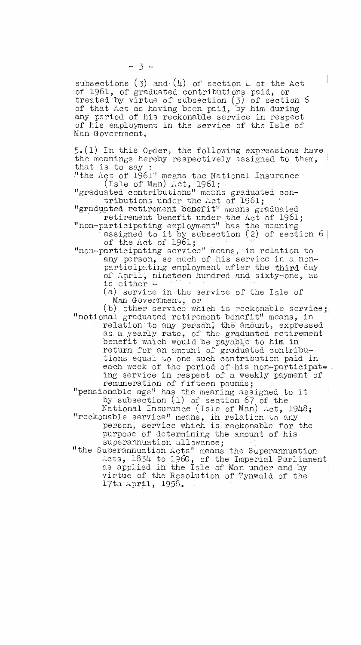subsections (3) and (4) of section 4 of the Act of 1961, of graduated contributions paid, or treated by virtue of subsection (3) of section 6 of that Act as having been- paid, by him during any period of his reckonable service in respect of his employment in the service of the Isle of Man Government.

5.(1) In this Order, the following expressions have, the meanings hereby respectively assigned to them, that is to say :

the Act of 1961" means the National Insurance (Isle of Man) Act,  $1961$ ;

"graduated contributions" means .graduated con-

tributions under the Act of 1961;<br>"graduated retirement benefit" means graduated

retirement benefit under the Act of 1961;<br>"non-participating employment" has the meaning<br>assigned to it by subsection  $\binom{2}{y}$  of section 6 of the  $Act$  of  $1961;$ 

"non-participating service" means, in relation to any person, so much of his service in a nonparticipating employment after the third day of April, nineteen hundred and sixty-one, as is either - •

(a) service in the service of the Isle of

Man Government, or<br>(b) other service which is reckonable service; "notional graduated retirement benefit" means, in relation to any person, the amount, expressed as a yearly rate, of the graduated retirement benefit which would be payable to him in return for an amount of graduated contributions equal to one•such,contribution paid in each week of the period of his non-participat. ing service in respect of a weekly payment of

remuneration of fifteen pounds; "pensionable age" has the meaning assigned to it by subsection (1) of section 67 of the

National Insurance (Isle of Man) Act, 1948; "reckonable service" means, in relation to any person, service which is reckonable for the purpose of determining the amount of his superannuation allowance; •

"the Superannuation Acts" means the. Superannuation Acts, 1834 to 1960, of the Imperial Parliament as applied in the Isle of Man under and by . virtue of the Resolution of Tynwald of the 17th April, 1958.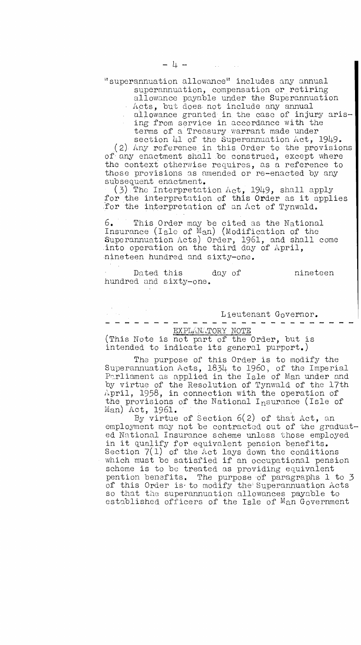superannuation allowance" includes any annual superannuation, compensation or retiring

and a strategic state

allowance payable under the Superannuation Acts, but does, not include any annual allowance granted in the case of injury aris-

ing. from service in accordance with the terms of a Treasury Warrant made under

section 41 of the Superannuation Act, 1949. (2) Any reference in this Order to the provisions of any enactment shall be construed, except where the context otherwise requires, as a reference to those provisions as amended or re-enacted by any subsequent enactment.

(3) The interpretation Act, 1949, shall apply for the interpretation of this Order as it applies for the interpretation of an Act of Tynwald.

6. This Order may be cited as the National Insurance  $(I_S1e$  of  $M_{3n})$  (Modification of the Superannuation Acts) Order, 1961, and shall come into operation on the third day of April, nineteen hundred and sixty-one.

Dated this day of nineteen hundred and sixty-one.

Lieutenant Governor.<br>- - - - - - - - - - - -

## EXPLANATORY NOTE

(This Note is not part of the Order, but is intended to indicate its general purport.)

The purpose of this Order is to modify the Superannuation Acts, 1834 to 1960, of the Imperial Parliament as applied in the Isle of Man under and by virtue of the Resolution of Tynwald of the 17th  $\Lambda$ pril, 1958, in connection with the operation of the provisions of the National Insurance (Isle of Man) Act, 1961.

By virtue of Section 6(2) of that Act, an employment may not be contracted out of the graduated National Insurance scheme unless those employed in it qualify for equivalent pension benefits. Section 7(1) of the Act lays down the conditions - which must be satisfied if an occupational pension scheme is to be treated as providing equivalent pention benefits. The purpose Of paragraphs 1 to 3 of this Order is to modify the Superannuation Acts so that the superannuation allowances payable to established officers of the Isle of Man Government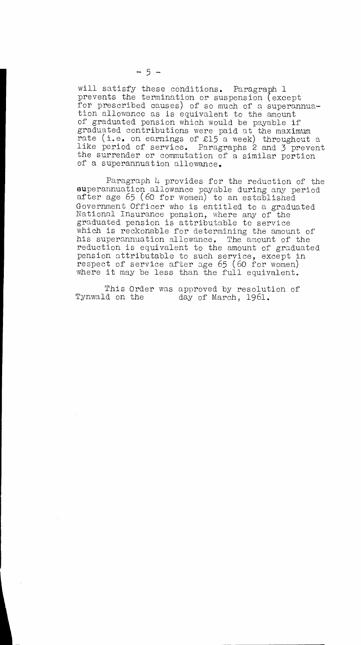will satisfy these conditions. Paragraph 1 prevents the termination or suspension (except for prescribed causes) of so much of a superannuation allowance as is equivalent to the amount of graduated pension which would be payable if graduated contributions were paid at the maximum rate (i.e. on earnings of £15<sup>-</sup>a week) throughout a like period of service. Paragraphs 2 and 3 prevent the surrender or commutation of a similar portion of a superannuation allowance.

Paragraph 4 provides for the reduction of the euperannuation allowance payable during any period after age 65 (60 for women) to an established Government Officer who is entitled to a graduated National Insurance pension, where any of the graduated pension is attributable to service which is reckonable for determining the amount of his superannuation allowance. The amount of the reduction is equivalent to the amount of graduated pension attributable to such service, except in respect of service after age 65 (60 for women) where it may be less than the full equivalent.

This Order was approved by resolution of Tynwald on the day of March, 1961.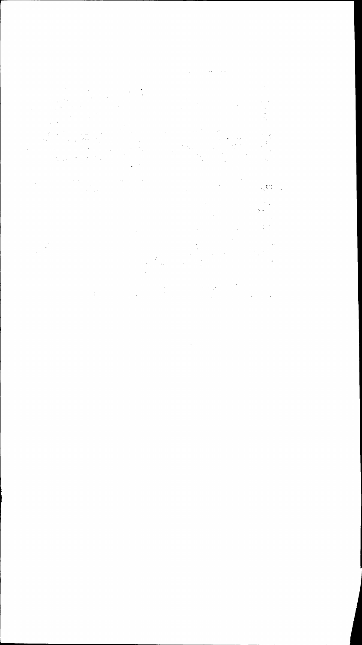

 $\ddot{\phantom{0}}$ a<br>Kabupatèn  $\mathcal{A}_\mathcal{A}$ 

 $\mathcal{L}(\mathcal{A})$  .

 $\mathcal{L}^{\text{max}}_{\text{max}}$  and  $\mathcal{L}^{\text{max}}_{\text{max}}$ 

 $\sim$ 

 $\frac{1}{2} \frac{1}{2} \frac{1}{2} \frac{1}{2} \frac{1}{2} \frac{1}{2} \frac{1}{2} \frac{1}{2} \frac{1}{2} \frac{1}{2} \frac{1}{2} \frac{1}{2} \frac{1}{2} \frac{1}{2} \frac{1}{2} \frac{1}{2} \frac{1}{2} \frac{1}{2} \frac{1}{2} \frac{1}{2} \frac{1}{2} \frac{1}{2} \frac{1}{2} \frac{1}{2} \frac{1}{2} \frac{1}{2} \frac{1}{2} \frac{1}{2} \frac{1}{2} \frac{1}{2} \frac{1}{2} \frac{$  $\sim$ 

 $\frac{1}{2} \sum_{i=1}^{n} \frac{1}{i!} \sum_{j=1}^{n} \frac{1}{j!} \sum_{j=1}^{n} \frac{1}{j!} \sum_{j=1}^{n} \frac{1}{j!} \sum_{j=1}^{n} \frac{1}{j!} \sum_{j=1}^{n} \frac{1}{j!} \sum_{j=1}^{n} \frac{1}{j!} \sum_{j=1}^{n} \frac{1}{j!} \sum_{j=1}^{n} \frac{1}{j!} \sum_{j=1}^{n} \frac{1}{j!} \sum_{j=1}^{n} \frac{1}{j!} \sum_{j=1}^{n} \frac{1}{$ 

 $\frac{d}{dt}$  $\ddot{\phantom{0}}$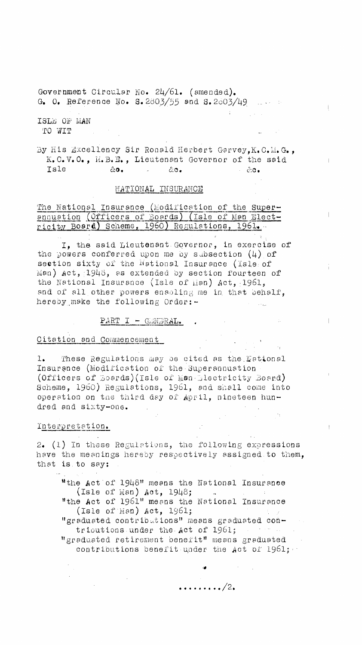Government Circular No. 24/61. (amended). G. O. Reference No. S. 2803/55 and S. 2803/49 .....

ISLE OF MAN TO WIT

By His Excellency Sir Ronald Herbert Garvey, K. C. M. G., K.C.V.O., M.B.E., Lieutenant Governor of the said Isle း ဗိ**၀**  $\&\bullet_\bullet$ ೋ≎  $\sim 10^{11}$ 

 $\mathcal{X} \subset \mathbb{R}^n$ 

#### MATIONAL INSURANCE

The National Insurance (Modification of the Superannuation (Officers of Boards) (Isle of Man Electricity Board) Scheme, 1960) Regulations, 1961.

I. the said Lieutenant Governor, in exercise of the powers conferred upon me by subsection  $(4)$  of section sixty of the Wational Insurance (Isle of Man) Act,  $1948$ , as extended by section fourteen of the National Insurance (Isle of Man) Act,  $1961$ , and of all other powers enabling me in that behalf, hereby make the following Order:-

 $\frac{\text{PART}}{\text{I}} = \frac{\text{GJNJRAI}}{\text{L}}$ 

Citation and Commencement

1. These Regulations may be cited as the Dational Insurance (Modification of the Superannuation (Officers of Boards)(Isle of Man Blectricity Board) Scheme, 1960) Regulations, 1961, and shall come into operation on the third day of April, nineteen hundred and sixty-one.

#### Interpretation.

2. (1) In these Regulations, the following expressions have the meanings hereby respectively assigned to them, that is to say:

 $\Delta\sim 10^4$ 

 $\sim 100$  km s  $^{-1}$ 

"the Act of 1948" means the National Insurance  $(Is1e of$  man) Act,  $1948$ ;  $\sim 100$ "the Act of 1961" means the National Insurance (Isle of Man) Act, 1961; a mara na mga barangay "graduated contributions" means graduated contributions under the Act of 1961; a strategy "graduated retirement benefit" means graduated contributions benefit under the Act of 1961;

. . . . . . . . . /2.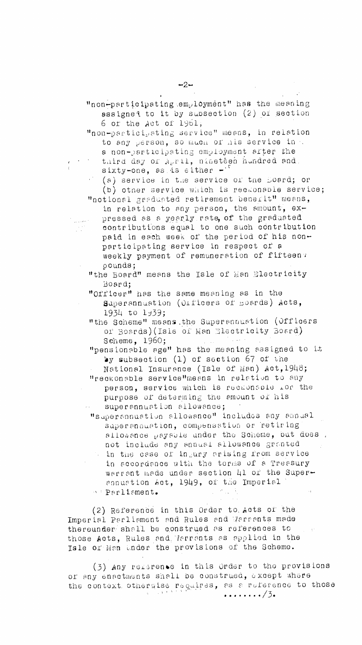"non-participating employment" has the meaning assigned to it by subsection (2) of section 6 or the Act of 1961

"non-participating service" means, in relation to any person, so much of his service in . a non-participating employment after the third day or April, nimeteen hundred and.

sixty-one, as is either  $-1$ 

(a) service in the service of the Board; or  $(b)$  other service which is reckonable service; "notional graduated retirement benefit" means,

in relation to any person, the amount,  $ex$ pressed es e yearly. rate, of the graduated contributions equal to one such contribution paid in each week of the period of his nonparticipating service in respect of a weekly payment of remuneration of fifteen? pounds;

"the Board" means the Isle of Man Blectricity Board;

"Officer" has the same meaning as in the Superannuation (Officers of Boards) Acts, 1934 to 1939;

"the Scheme" means,the Superannuation (Officers or Boards)(Isle of Man Electricity Board) Scheme, 1960;

"pensionable age" has the meaning assigned to it by subsection (1) of section 67 of the

National Insurance (Isle of Man) Act,19148; "reckonable service"means in relation to any person, service which is recaonsole for the purpose of determing the amount of his superannuation allowance;

"superannuation allowance" includes any annual superannuation, compensation or retiring allowance payable under the Scheme, but does. not include any annual allowance granted  $\sim$  in the case of in, ary arising from service in accordance with the terms of a Treasury warrant made under section 41 of the Superannuation Act, 1949, of the Imperial 'Parliament.

(2) Reference in this Order to Acts of the Imperial Parliament and Rules and Jarrants made thereunder shall be construed as references to those Acts, Rules and,'7arrants as applied in the Isle or Man under the provisions of the Scheme.

(3) Any referen'e in this Order to the provisions or any enactments shall be construed, except whore the context otherwise requires, as a reference to those  $\cdots \cdots \sqrt{3}$ 

 $\hat{\varphi}$  is a consection  $\mathcal{L}^{(2)}$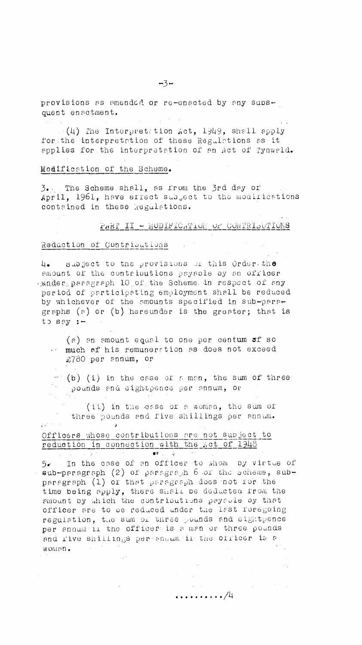provisions as amended or re-enacted by any supsquent enactment.

 $\mathcal{L}(\mathfrak{u})$  The Interpretation Act, 1949, shall apply for the interpretation of these Regulations as it applies for the interpretation of an Act of Tynwald.

#### Modification of the Scheme.

The Scheme shall, as from the 3rd day of  $3.1$ April, 1961, have errect subject to the modifications contained in these Regulations.

### PART II - MODIFICATION OF CONTRIBUTIONS

#### Reduction of Contributions

4. Subject to the provisions of this Order the amount of the contributions payable by an officer under paragraph 10 of the Scheme in respect of any period of participating employment shall be reduced by whichever of the amounts specified in sub-paragraphs (a) or (b) hereunder is the greater; that is  $t$  o say :-

(a) an amount equal to one per centum of so w much of his remuneration as does not exceed £780 per annum, or

- (b) (i) in the case of a man, the sum of three pounds and eightpence per annum, or

(ii) in the case of a woman, the sum of three pounds and five shillings per annum. Officers whose contributions are not subject to reduction in connection with the Act of 1948

#### $\mathcal{L}(\mathcal{Y},\mathcal{I})$  , and  $\mathcal{I}(\mathcal{I})$  $\label{eq:3.1} \mathbf{S}(\mathbf{S}) = \mathbf{S}(\mathbf{S}) = \mathbf{S}(\mathbf{S})$

 $5.$  In the case of an officer to whom by virtue of sub-paragraph (2) of paragraph 6 or the scheme, subparagraph (1) or that paragraph does not ror the time being apply, there shall be deducted from the amount by which the contributions paysole by that officer are to be reduced under the last foregoing regulation, the sum of three pounds and eightpence per annum in the officer is a man or three pounds and rive shillings per shoum in the officer is a WOMEN.  $\sim 10^{11}$ 

 $\cdots \cdots \cdots \mathcal{A}$ 

 $\mathcal{L}^{\text{max}}_{\text{max}}$  and  $\mathcal{L}^{\text{max}}_{\text{max}}$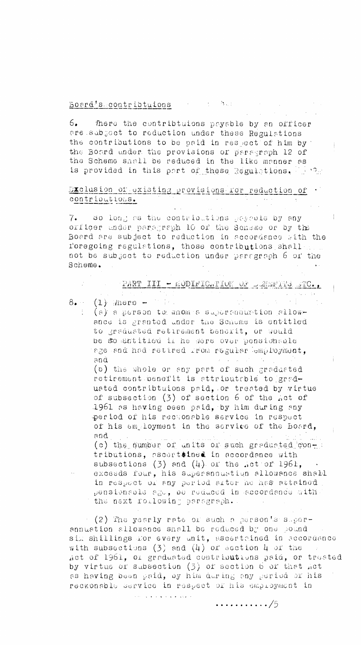Board's contribtuions and the bar

 $6.$ There the contribtuions payable by an officer are subgect to reduction under these Regulations the contributions to be paid in respect of him by the Board under the provisions of paragraph 12 of the Scheme shall be reduced in the like manner as is provided in this part of these Regulations.

Exclusion of existing provisions for reduction of . contributions.

so long as the contributions pay able by any  $7.$ orficer under paragraph 10 of the Soneme or by the Board are subject to reduction in accordance with the foregoing regulations, those contributions shall not be subject to reduction under paragraph 6 or the Scheme.

|  |  | -PART III - MODIFICATION OF LENEFIES ETC |
|--|--|------------------------------------------|
|  |  |                                          |
|  |  |                                          |

 $8.44$  $(1)$  there  $$ in Pol

> $(a)$  a person to anomal supersumulation allowance is granted under the Scheme is entitled to graduated retirement benerit, or would be so entitled in he were over pensionsule age and had retired from regular employment. and  $\sim$

(b) the whole or any part of such graduated retirement benefit is attributable to graduated contribtuions paid, or treated by virtue of subsection (3) of section 6 of the Act of 1961 as having been paid, by him during any period of his rectonable service in respect of his employment in the service of the Board, bœa

(c) the number of units of such graduated contributions, ascertained in accordance with subsections  $(3)$  and  $(4)$  or the set of 1961, exceeds four, his superannuation allowance shall in respect of any period after he has attained pensionable ago, be reduced in accordance with the next following persgreph.

 $\le$  (2) The yearly rate of such a person's superannuation allowance shall be reduced by one pound sim shillings nor every unit, ascertained in accordance with subsections  $(3)$  and  $(4)$  or section 4 or the Act of 1961, or graduated contributions paid, or treated by virtue or subsection (3) of section 6 of that het as having been paid, by him during any period or his reckonable service in respect of his employment in

والمولاء والوالون والأنابية

**. . . . . . . . . . .** /5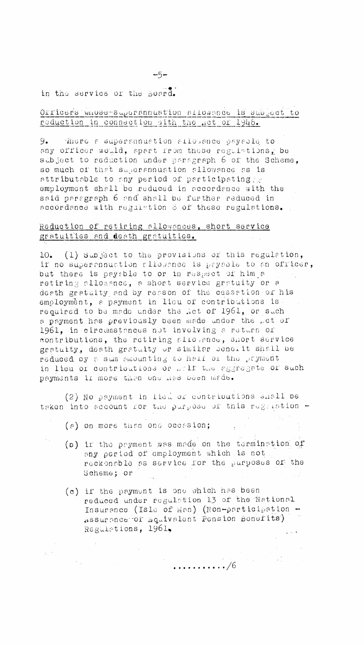#### in the service or the Board.

#### Officers whose superannuation allowance is subject to reduction in connection with the net of 1948.

 $9.$ where a superannuation allowance payable to any officer would, spart from these regulations, be subject to reduction under persgraph 6 of the Scheme, so much of that superannuation allowance as is attributable to any period of participating employment shall be reduced in accordance with the said paragraph 6 and shall be further reduced in accordance with regulation 8 of these regulations.

#### Reduction of retiring allowances, short service gratuities and death gratuities.

10. (1) Subject to the provisions or this regulation, if no superannustion sllowsnee is payeale to an officer, but there is payable to or in respect of him a retiring allowance, a short service gratuity or a death gratuity and by reason of the cessation of his<br>employment, a payment in lieu of contributions is required to be made under the .act of 1961, or such a payment has previously been made under the .et of 1961, in circumstances not involving a return of contributions, the retiring allo ance, short service gratuity, death gratuity or similar benefit shall be reduced by a sun amounting to half of the payment in lieu or contributions or malf the aggregate or such payments if more than one has been made.

(2) No payment in lieu or contributions anall be taken into account for the purpose of this regristion -

 $(e)$  on more then one occesion;

 $\mathcal{L}^{(1)}$ 

- (o) ir the peyment was made on the termination of any period of employment which is not. reckonable as service for the purposes of the Scheme; or
- (c) if the payment is one which has been reduced under regulation 13 of the National Insurance (Isle of Man) (Non-participation assurence of Equivalent Pension Benefits) Regulations, 1961,

 $\ldots \ldots \ldots \ldots \mathbin{/6}$ 

 $\frac{1}{2} \sqrt{\frac{2}{\pi}}$  .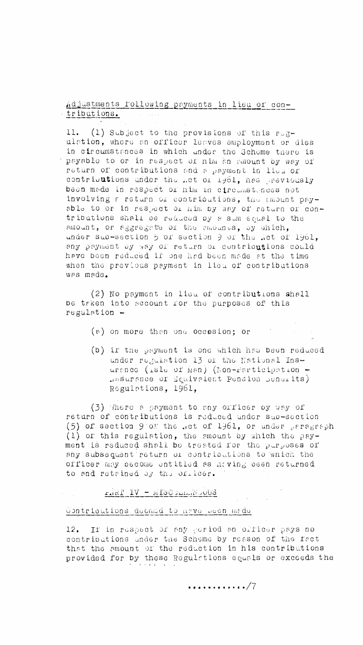Adjustments following payments in lieu of contributions.

11. (1) Subject to the provisions of this  $r \circ \alpha$ ulation, where an officer leaves employment or dies in circumstances in which under the Scheme there is payable to or in respect of him an amount by way of return of contributions and a payment in lieu or contributions under the .et of 1961, has previously been made in respect of him in circumstences not involving a return of contributions, the amount payable to or in respect of him by way of return or contributions shall be reduced by a sum equal to the amount, or aggregate of the amounts, by which, under sup-section 5 or section 9 or the Act of 1961, any payment by way of return of contributions could have been reduced if one had been made at the time when the previous payment in lieu of contributions was made.

(2) No payment in lieu of contributions shall be taken into account for the purposes of this  $regularation -$ 

- $(e)$  on more than one occesion; or
- (b) if the payment is one which has been reduced under regulation 13 or the National Insurance (isle of Man) (Non-Farticipation nssurance of Equivalent Pension Bonsiits) Regulations, 1961,

(3) There a payment to any officer by way of return of contributions is reduced under sup-section (5) of section 9 of the .et of 1961, or under paragraph (1) of this regulation, the emount by which the payment is reduced shall be treated for the purposes of any subsequent return of contributions to which the officer may become entitled as having been returned to and retained by the officer.

#### FREE IV - MISCHELMOUS

#### Contributions deemed to neve been made

12. If in respect of any period an officer pays no contributions under the Scheme by reason of the fact that the amount of the reduction in his contributions provided for by these Regulations equals or exceeds the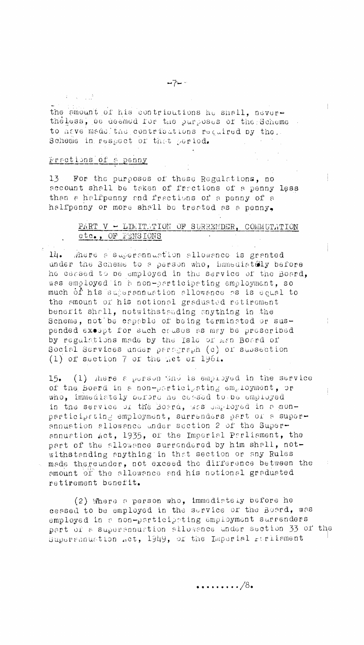#### $T_{\rm eff}$  and  $T_{\rm eff}$  and  $T_{\rm eff}$

the amount of his contributions he shall, neverthe less, be deemed for the purposes of the Scheme to have made the contributions required by the. Scheme in respect of that period.

#### Fractions of a penny

For the purposes of these Regulations, no  $13$ account shall be taken of frections of a penny less than a halfpenny and fractions of a penny of a halfpenny or more shall be treated as a penny,

#### PART V - LIMITATION OF SURRENDER, COMMUTATION etc., OF FENSIONS

14. Mere a supersundation allowance is granted under the Scheme to a person who, immediately before he ceased to be employed in the service of the Board, was employed in a non-participating employment, so much of his superannuation allowance as is equal to the amount of his notional graduated retirement benefit shall, notwithstanding anything in the Scheme, not be capable of being terminated or suspended exoapt for such causes as may be prescribed by regulations made by the Isle or man Board of Social Services under paragraph (c) of subsection  $(1)$  of section 7 or the net of 1961.

 $(1)$  here a person and is employed in the service  $15.$ of the Board in a non-participating employment, or who, immediately ourbro ne cossed to be employed in the service of the Board, was say foyed in a nonparticipating employment, surrenders part or a superannuation allowance under section 2 of the Superannuation Act, 1935, of the Imperial Parliament, the part of the sllowance surrendered by him shall, notwithstanding anything in that section or any Rules made thereunder, not exceed the difference between the emount of the allowance and his notional graduated retirement benefit.

(2) Where a person who, immediately before he ceased to be employed in the survice of the Board, was employed in a non-participating employment surrenders part of a superennustion allosance under section 33 of the Supersunustion .et, 1949, or the Imperial rerliament

**. . . . . . . . .** /8.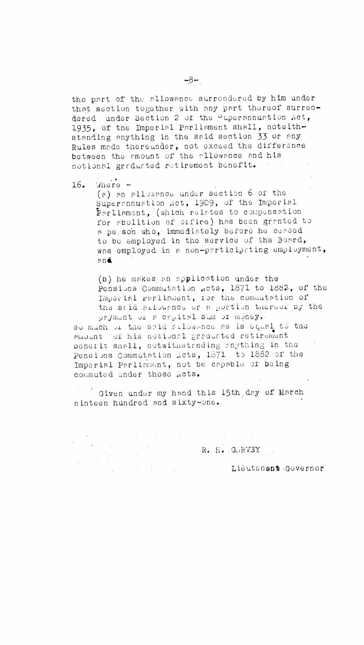1935, of the Imperial Parliament shall, notwithstanding anything in the said section 33 or any Rules made thereunder, not exceed the difference between the amount of the allowance and his notional graduated retirement benefit.

 $where 16.$ 

(a) an allowance under section 6 of the supermnuation Act, 1909, of the Imperial Parliament, (which relates to compensation for abolition of office) has been granted to a person who, immediately before he ceased to be employed in the service of the Board, was employed in a non-participating employment, and

(b) he makes an application under the Pensions Commutation nets, 1871 to 1882, of the Imperial Parliament, for the commutation of the said allowance or a portion thereof by the payment or a capital sum of money. so much of the said allowance as is equal to the amount of his notional graduated retirement penerit snall, notwithstanding anything in the Pensions Commutation Acts, 1871 to 1882 of the

Given under my hand this 15th day of March ninteen hundred and sixty-one.

Imperial Parliament, not be capable of being

commuted under those nets.

 $\label{eq:2.1} \frac{1}{\sqrt{2}}\int_{\mathbb{R}^3}\frac{1}{\sqrt{2}}\left(\frac{1}{\sqrt{2}}\right)^2\frac{1}{\sqrt{2}}\left(\frac{1}{\sqrt{2}}\right)^2\frac{1}{\sqrt{2}}\left(\frac{1}{\sqrt{2}}\right)^2\frac{1}{\sqrt{2}}\left(\frac{1}{\sqrt{2}}\right)^2\frac{1}{\sqrt{2}}\left(\frac{1}{\sqrt{2}}\right)^2\frac{1}{\sqrt{2}}\frac{1}{\sqrt{2}}\frac{1}{\sqrt{2}}\frac{1}{\sqrt{2}}\frac{1}{\sqrt{2}}\frac{1}{\sqrt{2}}$ 

 $\label{eq:2.1} \begin{split} \frac{1}{\sqrt{2}}\left(\frac{1}{\sqrt{2}}\right)^{2} &\frac{1}{\sqrt{2}}\left(\frac{1}{\sqrt{2}}\right)^{2} &\frac{1}{\sqrt{2}}\left(\frac{1}{\sqrt{2}}\right)^{2} &\frac{1}{\sqrt{2}}\left(\frac{1}{\sqrt{2}}\right)^{2} &\frac{1}{\sqrt{2}}\left(\frac{1}{\sqrt{2}}\right)^{2} &\frac{1}{\sqrt{2}}\left(\frac{1}{\sqrt{2}}\right)^{2} &\frac{1}{\sqrt{2}}\left(\frac{1}{\sqrt{2}}\right)^{2} &\frac{$ 

R. H. GARVEY

**Liéutenant Governor**<br>Diéuten**ant Governor**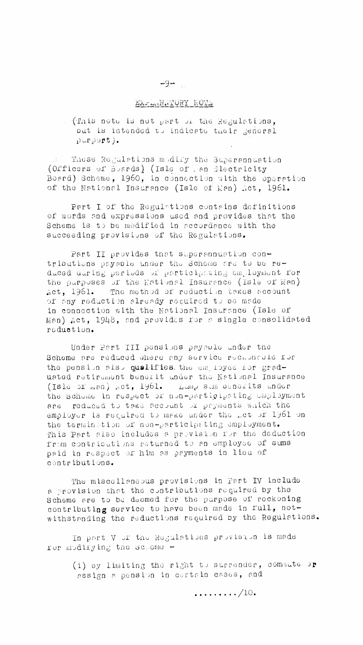#### EXTERNATORY EOTH

. (This note is not part of the Regulations, put is intended to indicate their general purport).

These Regulations modify the Superannuation (Officers of Boards) (Isle of .an Electricity Board) Scheme, 1960, in connection with the operation of the National Insurance (Isle of Man) Act, 1961.

Part I of the Regulations contains definitions of words and expressions used and provides that the Scheme is to be modified in accordance with the succeeding provisions of the Regulations.

Part II provides that superannuation contributions payable under the Scheme are to be reduced during periods of participating omployment for the purposes of the Kational Insurance (Isle of Man) The method of reduction takes account  $\text{act}$ , 1961. of any reduction already recuired to be made in connection with the National Insurance (Isle of Man) Act, 1948, and provides for a single consolidated reduction.

Under Part III pensions payaule under the Scheme are reduced where any service recupacule for the pension also qualifies the employee for graduated retirement benefit under the National Insurance (Isla of man) met, 1961. Lamp som ocnerits under the Schome in respect of non-participating omployment are reduced to take account or payments which the employer is required to make under the net of 1961 on the termination of non-participating employment. This Part also includes a provision for the deduction from contributions returned to an employee of sums paid in respect of him as payments in lieu of contributions.

The miscellaneous provisions in Part IV include a provision that the contributions required by the Scheme are to be deemed for the purpose of reckoning contributing service to have been made in full, notwithstanding the reductions required by the Regulations.

In part V of the Regulations provision is made ror modifying the scieme -

> (i) by limiting the right to surrender, commute or assign a pension in certain cases, and

> > $\ldots \ldots \ldots \left/10\right.$